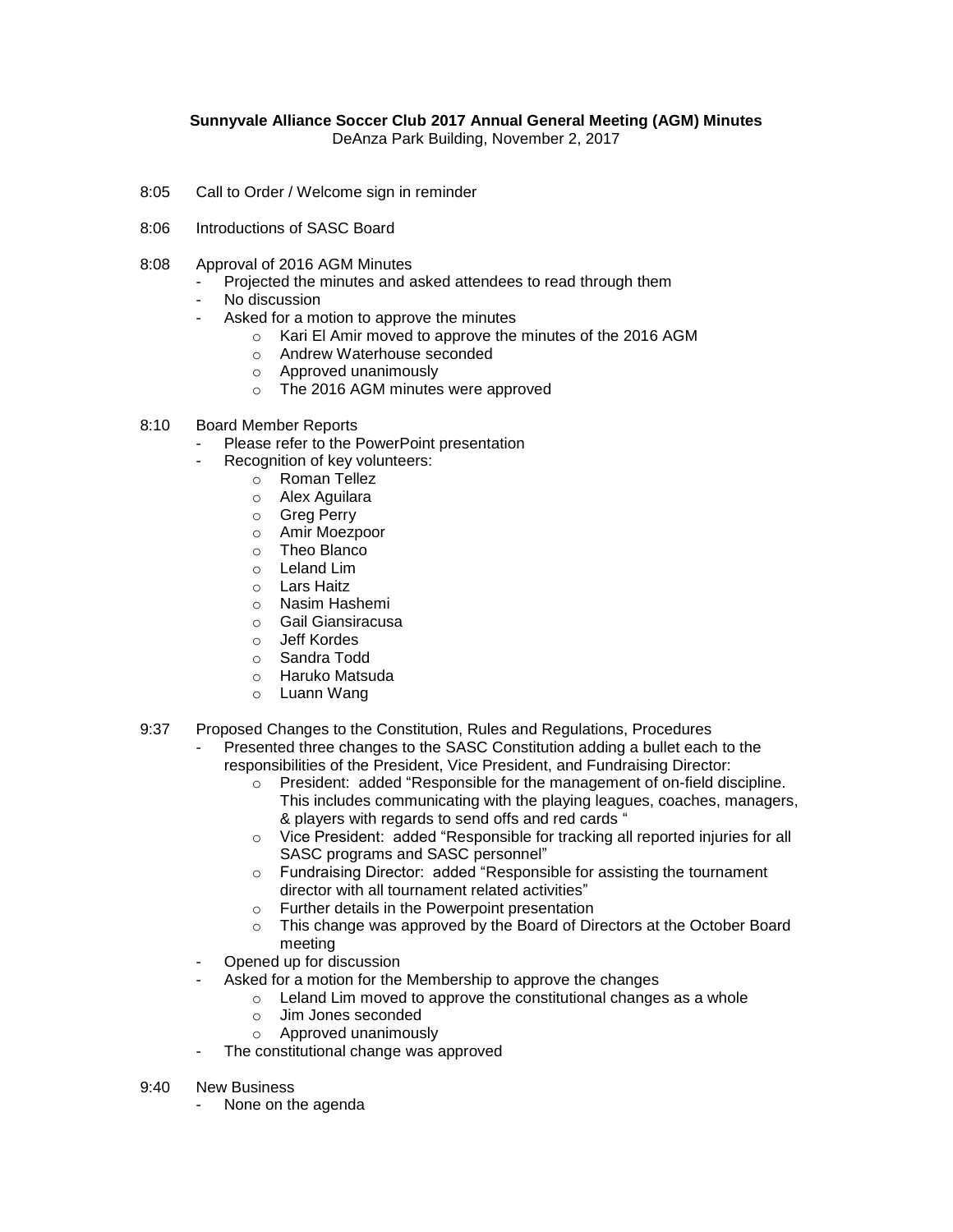## **Sunnyvale Alliance Soccer Club 2017 Annual General Meeting (AGM) Minutes**

DeAnza Park Building, November 2, 2017

- 8:05 Call to Order / Welcome sign in reminder
- 8:06 Introductions of SASC Board
- 8:08 Approval of 2016 AGM Minutes
	- Projected the minutes and asked attendees to read through them
	- No discussion
	- Asked for a motion to approve the minutes
		- o Kari El Amir moved to approve the minutes of the 2016 AGM
		- o Andrew Waterhouse seconded
		- o Approved unanimously
		- o The 2016 AGM minutes were approved
- 8:10 Board Member Reports
	- Please refer to the PowerPoint presentation
	- Recognition of key volunteers:
		- o Roman Tellez
			- o Alex Aguilara
			- o Greg Perry
			- o Amir Moezpoor
			- o Theo Blanco
			- o Leland Lim
		- o Lars Haitz
		- o Nasim Hashemi
		- o Gail Giansiracusa
		- o Jeff Kordes
		- o Sandra Todd
		- o Haruko Matsuda
		- o Luann Wang
- 9:37 Proposed Changes to the Constitution, Rules and Regulations, Procedures
	- Presented three changes to the SASC Constitution adding a bullet each to the responsibilities of the President, Vice President, and Fundraising Director:
		- o President: added "Responsible for the management of on-field discipline. This includes communicating with the playing leagues, coaches, managers, & players with regards to send offs and red cards "
		- o Vice President: added "Responsible for tracking all reported injuries for all SASC programs and SASC personnel"
		- o Fundraising Director: added "Responsible for assisting the tournament director with all tournament related activities"
		- o Further details in the Powerpoint presentation
		- o This change was approved by the Board of Directors at the October Board meeting
	- Opened up for discussion
	- Asked for a motion for the Membership to approve the changes
		- o Leland Lim moved to approve the constitutional changes as a whole
		- o Jim Jones seconded
		- o Approved unanimously
	- The constitutional change was approved
- 9:40 New Business
	- None on the agenda